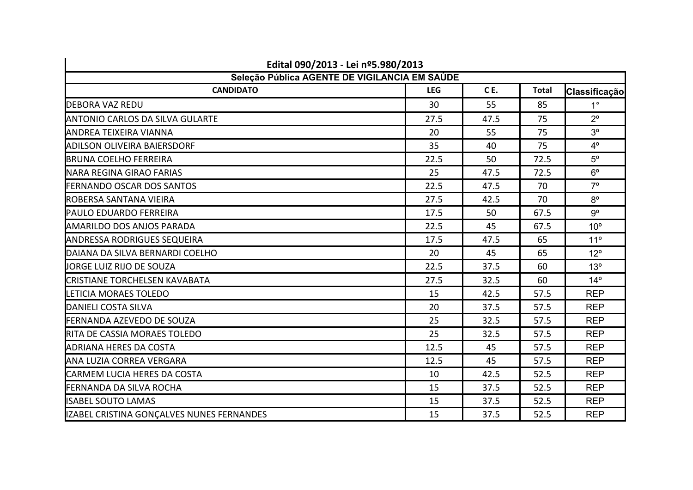| Edital 090/2013 - Lei nº5.980/2013            |            |      |              |                 |  |
|-----------------------------------------------|------------|------|--------------|-----------------|--|
| Seleção Pública AGENTE DE VIGILANCIA EM SAÚDE |            |      |              |                 |  |
| <b>CANDIDATO</b>                              | <b>LEG</b> | CE.  | <b>Total</b> | Classificação   |  |
| <b>IDEBORA VAZ REDU</b>                       | 30         | 55   | 85           | $1^{\circ}$     |  |
| <b>ANTONIO CARLOS DA SILVA GULARTE</b>        | 27.5       | 47.5 | 75           | $2^{\circ}$     |  |
| <b>ANDREA TEIXEIRA VIANNA</b>                 | 20         | 55   | 75           | 3 <sup>o</sup>  |  |
| ADILSON OLIVEIRA BAIERSDORF                   | 35         | 40   | 75           | $4^\circ$       |  |
| <b>I</b> BRUNA COELHO FERREIRA                | 22.5       | 50   | 72.5         | $5^{\circ}$     |  |
| <b>NARA REGINA GIRAO FARIAS</b>               | 25         | 47.5 | 72.5         | $6^{\circ}$     |  |
| <b>FERNANDO OSCAR DOS SANTOS</b>              | 22.5       | 47.5 | 70           | $7^\circ$       |  |
| <b>IROBERSA SANTANA VIEIRA</b>                | 27.5       | 42.5 | 70           | $8^{\circ}$     |  |
| <b>PAULO EDUARDO FERREIRA</b>                 | 17.5       | 50   | 67.5         | $9^{\circ}$     |  |
| <b>AMARILDO DOS ANJOS PARADA</b>              | 22.5       | 45   | 67.5         | 10 <sup>o</sup> |  |
| <b>ANDRESSA RODRIGUES SEQUEIRA</b>            | 17.5       | 47.5 | 65           | 11 <sup>°</sup> |  |
| DAIANA DA SILVA BERNARDI COELHO               | 20         | 45   | 65           | $12^{\circ}$    |  |
| JORGE LUIZ RIJO DE SOUZA                      | 22.5       | 37.5 | 60           | 13 <sup>°</sup> |  |
| <b>CRISTIANE TORCHELSEN KAVABATA</b>          | 27.5       | 32.5 | 60           | $14^{\circ}$    |  |
| LETICIA MORAES TOLEDO                         | 15         | 42.5 | 57.5         | <b>REP</b>      |  |
| <b>DANIELI COSTA SILVA</b>                    | 20         | 37.5 | 57.5         | <b>REP</b>      |  |
| <b>IFERNANDA AZEVEDO DE SOUZA</b>             | 25         | 32.5 | 57.5         | <b>REP</b>      |  |
| <b>RITA DE CASSIA MORAES TOLEDO</b>           | 25         | 32.5 | 57.5         | <b>REP</b>      |  |
| <b>ADRIANA HERES DA COSTA</b>                 | 12.5       | 45   | 57.5         | <b>REP</b>      |  |
| IANA LUZIA CORREA VERGARA                     | 12.5       | 45   | 57.5         | <b>REP</b>      |  |
| <b>CARMEM LUCIA HERES DA COSTA</b>            | 10         | 42.5 | 52.5         | <b>REP</b>      |  |
| <b>I</b> FERNANDA DA SILVA ROCHA              | 15         | 37.5 | 52.5         | <b>REP</b>      |  |
| <b>I</b> ISABEL SOUTO LAMAS                   | 15         | 37.5 | 52.5         | <b>REP</b>      |  |
| IZABEL CRISTINA GONÇALVES NUNES FERNANDES     | 15         | 37.5 | 52.5         | <b>REP</b>      |  |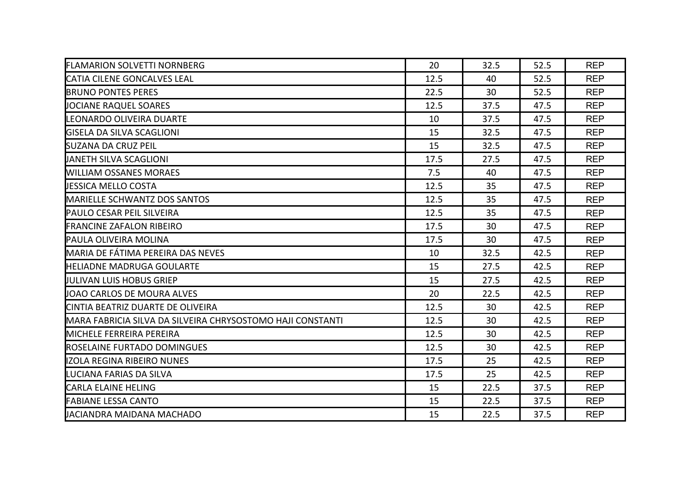| <b>FLAMARION SOLVETTI NORNBERG</b>                          | 20   | 32.5 | 52.5 | <b>REP</b> |
|-------------------------------------------------------------|------|------|------|------------|
| <b>ICATIA CILENE GONCALVES LEAL</b>                         | 12.5 | 40   | 52.5 | <b>REP</b> |
| <b>BRUNO PONTES PERES</b>                                   | 22.5 | 30   | 52.5 | <b>REP</b> |
| JOCIANE RAQUEL SOARES                                       | 12.5 | 37.5 | 47.5 | <b>REP</b> |
| <b>ILEONARDO OLIVEIRA DUARTE</b>                            | 10   | 37.5 | 47.5 | <b>REP</b> |
| <b>GISELA DA SILVA SCAGLIONI</b>                            | 15   | 32.5 | 47.5 | <b>REP</b> |
| <b>I</b> SUZANA DA CRUZ PEIL                                | 15   | 32.5 | 47.5 | <b>REP</b> |
| IJANETH SILVA SCAGLIONI                                     | 17.5 | 27.5 | 47.5 | <b>REP</b> |
| <b>WILLIAM OSSANES MORAES</b>                               | 7.5  | 40   | 47.5 | <b>REP</b> |
| <b>JESSICA MELLO COSTA</b>                                  | 12.5 | 35   | 47.5 | <b>REP</b> |
| <b>IMARIELLE SCHWANTZ DOS SANTOS</b>                        | 12.5 | 35   | 47.5 | <b>REP</b> |
| <b>PAULO CESAR PEIL SILVEIRA</b>                            | 12.5 | 35   | 47.5 | <b>REP</b> |
| <b>IFRANCINE ZAFALON RIBEIRO</b>                            | 17.5 | 30   | 47.5 | <b>REP</b> |
| <b>PAULA OLIVEIRA MOLINA</b>                                | 17.5 | 30   | 47.5 | <b>REP</b> |
| <b>MARIA DE FÁTIMA PEREIRA DAS NEVES</b>                    | 10   | 32.5 | 42.5 | <b>REP</b> |
| <b>IHELIADNE MADRUGA GOULARTE</b>                           | 15   | 27.5 | 42.5 | <b>REP</b> |
| IJULIVAN LUIS HOBUS GRIEP                                   | 15   | 27.5 | 42.5 | <b>REP</b> |
| JOAO CARLOS DE MOURA ALVES                                  | 20   | 22.5 | 42.5 | <b>REP</b> |
| CINTIA BEATRIZ DUARTE DE OLIVEIRA                           | 12.5 | 30   | 42.5 | <b>REP</b> |
| IMARA FABRICIA SILVA DA SILVEIRA CHRYSOSTOMO HAJI CONSTANTI | 12.5 | 30   | 42.5 | <b>REP</b> |
| <b>IMICHELE FERREIRA PEREIRA</b>                            | 12.5 | 30   | 42.5 | <b>REP</b> |
| ROSELAINE FURTADO DOMINGUES                                 | 12.5 | 30   | 42.5 | <b>REP</b> |
| IZOLA REGINA RIBEIRO NUNES                                  | 17.5 | 25   | 42.5 | <b>REP</b> |
| LUCIANA FARIAS DA SILVA                                     | 17.5 | 25   | 42.5 | <b>REP</b> |
| <b>CARLA ELAINE HELING</b>                                  | 15   | 22.5 | 37.5 | <b>REP</b> |
| <b>FABIANE LESSA CANTO</b>                                  | 15   | 22.5 | 37.5 | <b>REP</b> |
| JACIANDRA MAIDANA MACHADO                                   | 15   | 22.5 | 37.5 | <b>REP</b> |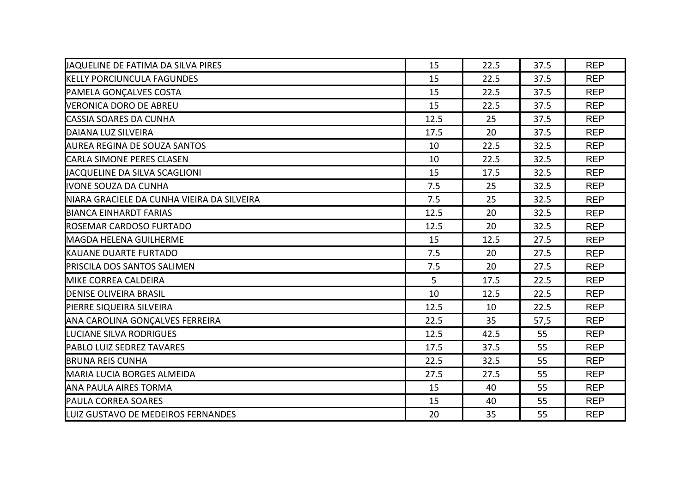| JAQUELINE DE FATIMA DA SILVA PIRES         | 15   | 22.5 | 37.5 | <b>REP</b> |
|--------------------------------------------|------|------|------|------------|
| <b>IKELLY PORCIUNCULA FAGUNDES</b>         | 15   | 22.5 | 37.5 | <b>REP</b> |
| <b>PAMELA GONÇALVES COSTA</b>              | 15   | 22.5 | 37.5 | <b>REP</b> |
| <b>VERONICA DORO DE ABREU</b>              | 15   | 22.5 | 37.5 | <b>REP</b> |
| <b>CASSIA SOARES DA CUNHA</b>              | 12.5 | 25   | 37.5 | <b>REP</b> |
| DAIANA LUZ SILVEIRA                        | 17.5 | 20   | 37.5 | <b>REP</b> |
| AUREA REGINA DE SOUZA SANTOS               | 10   | 22.5 | 32.5 | <b>REP</b> |
| <b>CARLA SIMONE PERES CLASEN</b>           | 10   | 22.5 | 32.5 | <b>REP</b> |
| JACQUELINE DA SILVA SCAGLIONI              | 15   | 17.5 | 32.5 | <b>REP</b> |
| <b>IIVONE SOUZA DA CUNHA</b>               | 7.5  | 25   | 32.5 | <b>REP</b> |
| NIARA GRACIELE DA CUNHA VIEIRA DA SILVEIRA | 7.5  | 25   | 32.5 | <b>REP</b> |
| <b>BIANCA EINHARDT FARIAS</b>              | 12.5 | 20   | 32.5 | <b>REP</b> |
| <b>IROSEMAR CARDOSO FURTADO</b>            | 12.5 | 20   | 32.5 | <b>REP</b> |
| <b>MAGDA HELENA GUILHERME</b>              | 15   | 12.5 | 27.5 | <b>REP</b> |
| <b>I</b> KAUANE DUARTE FURTADO             | 7.5  | 20   | 27.5 | <b>REP</b> |
| <b>PRISCILA DOS SANTOS SALIMEN</b>         | 7.5  | 20   | 27.5 | <b>REP</b> |
| MIKE CORREA CALDEIRA                       | 5    | 17.5 | 22.5 | <b>REP</b> |
| <b>DENISE OLIVEIRA BRASIL</b>              | 10   | 12.5 | 22.5 | <b>REP</b> |
| PIERRE SIQUEIRA SILVEIRA                   | 12.5 | 10   | 22.5 | <b>REP</b> |
| ANA CAROLINA GONÇALVES FERREIRA            | 22.5 | 35   | 57,5 | <b>REP</b> |
| <b>LUCIANE SILVA RODRIGUES</b>             | 12.5 | 42.5 | 55   | <b>REP</b> |
| <b>PABLO LUIZ SEDREZ TAVARES</b>           | 17.5 | 37.5 | 55   | <b>REP</b> |
| <b>BRUNA REIS CUNHA</b>                    | 22.5 | 32.5 | 55   | <b>REP</b> |
| <b>MARIA LUCIA BORGES ALMEIDA</b>          | 27.5 | 27.5 | 55   | <b>REP</b> |
| <b>ANA PAULA AIRES TORMA</b>               | 15   | 40   | 55   | <b>REP</b> |
| <b>PAULA CORREA SOARES</b>                 | 15   | 40   | 55   | <b>REP</b> |
| LUIZ GUSTAVO DE MEDEIROS FERNANDES         | 20   | 35   | 55   | <b>REP</b> |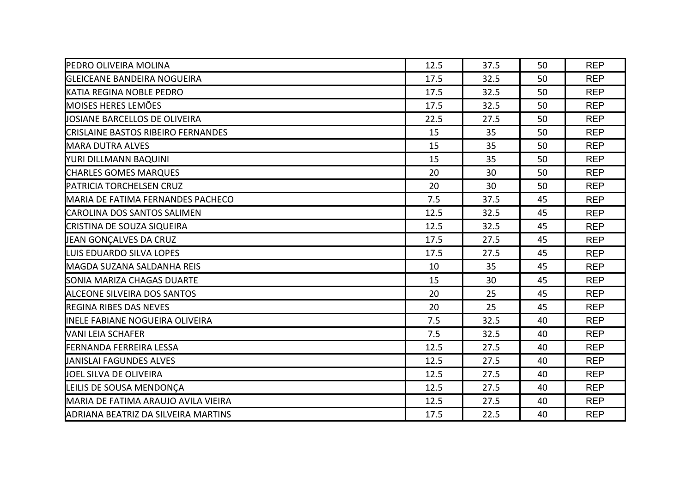| <b>PEDRO OLIVEIRA MOLINA</b>                | 12.5 | 37.5 | 50 | <b>REP</b> |
|---------------------------------------------|------|------|----|------------|
| <b>IGLEICEANE BANDEIRA NOGUEIRA</b>         | 17.5 | 32.5 | 50 | <b>REP</b> |
| <b>KATIA REGINA NOBLE PEDRO</b>             | 17.5 | 32.5 | 50 | <b>REP</b> |
| <b>MOISES HERES LEMÕES</b>                  | 17.5 | 32.5 | 50 | <b>REP</b> |
| <b>JOSIANE BARCELLOS DE OLIVEIRA</b>        | 22.5 | 27.5 | 50 | <b>REP</b> |
| <b>CRISLAINE BASTOS RIBEIRO FERNANDES</b>   | 15   | 35   | 50 | <b>REP</b> |
| <b>MARA DUTRA ALVES</b>                     | 15   | 35   | 50 | <b>REP</b> |
| YURI DILLMANN BAQUINI                       | 15   | 35   | 50 | <b>REP</b> |
| <b>CHARLES GOMES MARQUES</b>                | 20   | 30   | 50 | <b>REP</b> |
| <b>PATRICIA TORCHELSEN CRUZ</b>             | 20   | 30   | 50 | <b>REP</b> |
| <b>MARIA DE FATIMA FERNANDES PACHECO</b>    | 7.5  | 37.5 | 45 | <b>REP</b> |
| CAROLINA DOS SANTOS SALIMEN                 | 12.5 | 32.5 | 45 | <b>REP</b> |
| <b>CRISTINA DE SOUZA SIQUEIRA</b>           | 12.5 | 32.5 | 45 | <b>REP</b> |
| JEAN GONÇALVES DA CRUZ                      | 17.5 | 27.5 | 45 | <b>REP</b> |
| <b>I</b> LUIS EDUARDO SILVA LOPES           | 17.5 | 27.5 | 45 | <b>REP</b> |
| <b>MAGDA SUZANA SALDANHA REIS</b>           | 10   | 35   | 45 | <b>REP</b> |
| <b>SONIA MARIZA CHAGAS DUARTE</b>           | 15   | 30   | 45 | <b>REP</b> |
| <b>ALCEONE SILVEIRA DOS SANTOS</b>          | 20   | 25   | 45 | <b>REP</b> |
| <b>REGINA RIBES DAS NEVES</b>               | 20   | 25   | 45 | <b>REP</b> |
| INELE FABIANE NOGUEIRA OLIVEIRA             | 7.5  | 32.5 | 40 | <b>REP</b> |
| <b>VANI LEIA SCHAFER</b>                    | 7.5  | 32.5 | 40 | <b>REP</b> |
| <b>FERNANDA FERREIRA LESSA</b>              | 12.5 | 27.5 | 40 | <b>REP</b> |
| <b>J</b> ANISLAI FAGUNDES ALVES             | 12.5 | 27.5 | 40 | <b>REP</b> |
| JOEL SILVA DE OLIVEIRA                      | 12.5 | 27.5 | 40 | <b>REP</b> |
| LEILIS DE SOUSA MENDONÇA                    | 12.5 | 27.5 | 40 | <b>REP</b> |
| <b>IMARIA DE FATIMA ARAUJO AVILA VIEIRA</b> | 12.5 | 27.5 | 40 | <b>REP</b> |
| ADRIANA BEATRIZ DA SILVEIRA MARTINS         | 17.5 | 22.5 | 40 | <b>REP</b> |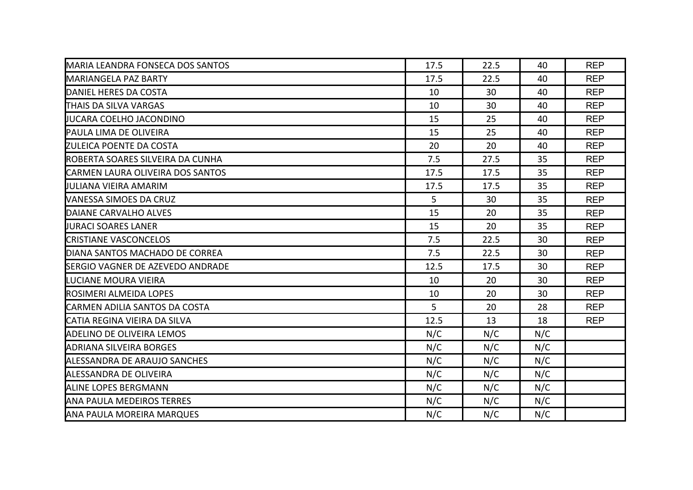| <b>MARIA LEANDRA FONSECA DOS SANTOS</b>  | 17.5 | 22.5 | 40  | <b>REP</b> |
|------------------------------------------|------|------|-----|------------|
| <b>I</b> MARIANGELA PAZ BARTY            | 17.5 | 22.5 | 40  | <b>REP</b> |
| DANIEL HERES DA COSTA                    | 10   | 30   | 40  | <b>REP</b> |
| <b>THAIS DA SILVA VARGAS</b>             | 10   | 30   | 40  | <b>REP</b> |
| IJUCARA COELHO JACONDINO                 | 15   | 25   | 40  | <b>REP</b> |
| PAULA LIMA DE OLIVEIRA                   | 15   | 25   | 40  | <b>REP</b> |
| <b>IZULEICA POENTE DA COSTA</b>          | 20   | 20   | 40  | <b>REP</b> |
| ROBERTA SOARES SILVEIRA DA CUNHA         | 7.5  | 27.5 | 35  | <b>REP</b> |
| <b>CARMEN LAURA OLIVEIRA DOS SANTOS</b>  | 17.5 | 17.5 | 35  | <b>REP</b> |
| UULIANA VIEIRA AMARIM                    | 17.5 | 17.5 | 35  | <b>REP</b> |
| IVANESSA SIMOES DA CRUZ                  | 5    | 30   | 35  | <b>REP</b> |
| DAIANE CARVALHO ALVES                    | 15   | 20   | 35  | <b>REP</b> |
| <b>UURACI SOARES LANER</b>               | 15   | 20   | 35  | <b>REP</b> |
| <b>CRISTIANE VASCONCELOS</b>             | 7.5  | 22.5 | 30  | <b>REP</b> |
| DIANA SANTOS MACHADO DE CORREA           | 7.5  | 22.5 | 30  | <b>REP</b> |
| <b>ISERGIO VAGNER DE AZEVEDO ANDRADE</b> | 12.5 | 17.5 | 30  | <b>REP</b> |
| <b>ILUCIANE MOURA VIEIRA</b>             | 10   | 20   | 30  | <b>REP</b> |
| ROSIMERI ALMEIDA LOPES                   | 10   | 20   | 30  | <b>REP</b> |
| <b>CARMEN ADILIA SANTOS DA COSTA</b>     | 5    | 20   | 28  | <b>REP</b> |
| <b>ICATIA REGINA VIEIRA DA SILVA</b>     | 12.5 | 13   | 18  | <b>REP</b> |
| <b>ADELINO DE OLIVEIRA LEMOS</b>         | N/C  | N/C  | N/C |            |
| <b>ADRIANA SILVEIRA BORGES</b>           | N/C  | N/C  | N/C |            |
| ALESSANDRA DE ARAUJO SANCHES             | N/C  | N/C  | N/C |            |
| ALESSANDRA DE OLIVEIRA                   | N/C  | N/C  | N/C |            |
| <b>ALINE LOPES BERGMANN</b>              | N/C  | N/C  | N/C |            |
| <b>ANA PAULA MEDEIROS TERRES</b>         | N/C  | N/C  | N/C |            |
| <b>ANA PAULA MOREIRA MARQUES</b>         | N/C  | N/C  | N/C |            |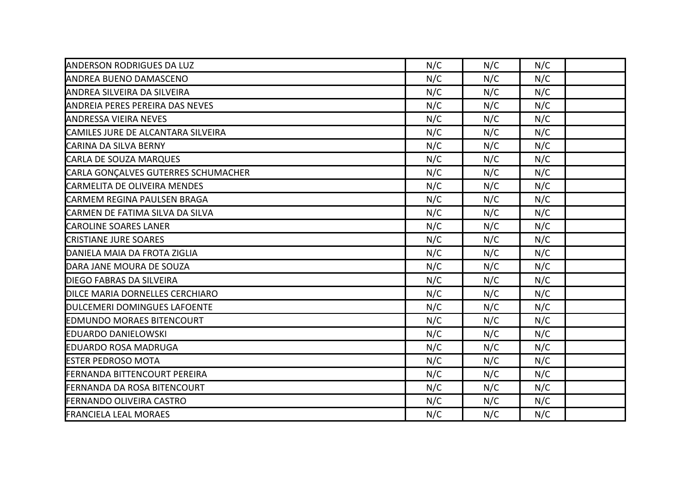| <b>ANDERSON RODRIGUES DA LUZ</b>       | N/C | N/C | N/C |  |
|----------------------------------------|-----|-----|-----|--|
| <b>ANDREA BUENO DAMASCENO</b>          | N/C | N/C | N/C |  |
| <b>ANDREA SILVEIRA DA SILVEIRA</b>     | N/C | N/C | N/C |  |
| <b>ANDREIA PERES PEREIRA DAS NEVES</b> | N/C | N/C | N/C |  |
| <b>ANDRESSA VIEIRA NEVES</b>           | N/C | N/C | N/C |  |
| CAMILES JURE DE ALCANTARA SILVEIRA     | N/C | N/C | N/C |  |
| <b>CARINA DA SILVA BERNY</b>           | N/C | N/C | N/C |  |
| CARLA DE SOUZA MARQUES                 | N/C | N/C | N/C |  |
| CARLA GONÇALVES GUTERRES SCHUMACHER    | N/C | N/C | N/C |  |
| CARMELITA DE OLIVEIRA MENDES           | N/C | N/C | N/C |  |
| <b>CARMEM REGINA PAULSEN BRAGA</b>     | N/C | N/C | N/C |  |
| CARMEN DE FATIMA SILVA DA SILVA        | N/C | N/C | N/C |  |
| <b>CAROLINE SOARES LANER</b>           | N/C | N/C | N/C |  |
| <b>CRISTIANE JURE SOARES</b>           | N/C | N/C | N/C |  |
| DANIELA MAIA DA FROTA ZIGLIA           | N/C | N/C | N/C |  |
| DARA JANE MOURA DE SOUZA               | N/C | N/C | N/C |  |
| <b>DIEGO FABRAS DA SILVEIRA</b>        | N/C | N/C | N/C |  |
| <b>DILCE MARIA DORNELLES CERCHIARO</b> | N/C | N/C | N/C |  |
| <b>DULCEMERI DOMINGUES LAFOENTE</b>    | N/C | N/C | N/C |  |
| <b>EDMUNDO MORAES BITENCOURT</b>       | N/C | N/C | N/C |  |
| <b>EDUARDO DANIELOWSKI</b>             | N/C | N/C | N/C |  |
| <b>EDUARDO ROSA MADRUGA</b>            | N/C | N/C | N/C |  |
| <b>ESTER PEDROSO MOTA</b>              | N/C | N/C | N/C |  |
| <b>FERNANDA BITTENCOURT PEREIRA</b>    | N/C | N/C | N/C |  |
| <b>FERNANDA DA ROSA BITENCOURT</b>     | N/C | N/C | N/C |  |
| <b>FERNANDO OLIVEIRA CASTRO</b>        | N/C | N/C | N/C |  |
| <b>FRANCIELA LEAL MORAES</b>           | N/C | N/C | N/C |  |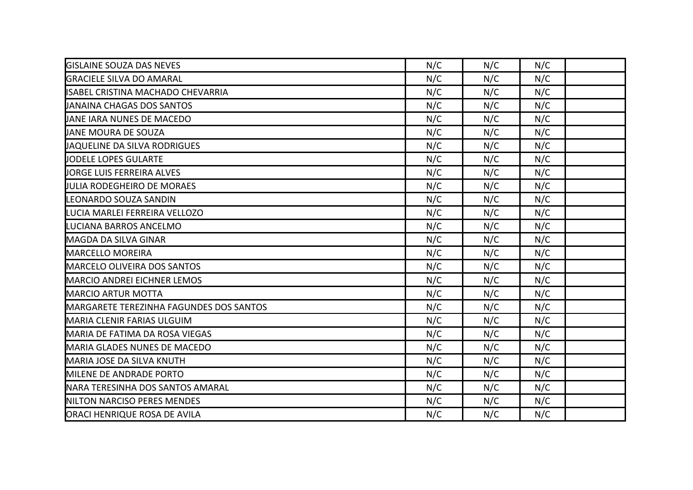| <b>GISLAINE SOUZA DAS NEVES</b>                | N/C | N/C | N/C |  |
|------------------------------------------------|-----|-----|-----|--|
| <b>IGRACIELE SILVA DO AMARAL</b>               | N/C | N/C | N/C |  |
| <b>ISABEL CRISTINA MACHADO CHEVARRIA</b>       | N/C | N/C | N/C |  |
| JANAINA CHAGAS DOS SANTOS                      | N/C | N/C | N/C |  |
| <b>JANE JARA NUNES DE MACEDO</b>               | N/C | N/C | N/C |  |
| <b>JANE MOURA DE SOUZA</b>                     | N/C | N/C | N/C |  |
| <b>JAQUELINE DA SILVA RODRIGUES</b>            | N/C | N/C | N/C |  |
| JODELE LOPES GULARTE                           | N/C | N/C | N/C |  |
| <b>JORGE LUIS FERREIRA ALVES</b>               | N/C | N/C | N/C |  |
| <b>JULIA RODEGHEIRO DE MORAES</b>              | N/C | N/C | N/C |  |
| <b>ILEONARDO SOUZA SANDIN</b>                  | N/C | N/C | N/C |  |
| LUCIA MARLEI FERREIRA VELLOZO                  | N/C | N/C | N/C |  |
| LUCIANA BARROS ANCELMO                         | N/C | N/C | N/C |  |
| MAGDA DA SILVA GINAR                           | N/C | N/C | N/C |  |
| <b>MARCELLO MOREIRA</b>                        | N/C | N/C | N/C |  |
| <b>MARCELO OLIVEIRA DOS SANTOS</b>             | N/C | N/C | N/C |  |
| <b>IMARCIO ANDREI EICHNER LEMOS</b>            | N/C | N/C | N/C |  |
| <b>MARCIO ARTUR MOTTA</b>                      | N/C | N/C | N/C |  |
| <b>MARGARETE TEREZINHA FAGUNDES DOS SANTOS</b> | N/C | N/C | N/C |  |
| <b>IMARIA CLENIR FARIAS ULGUIM</b>             | N/C | N/C | N/C |  |
| MARIA DE FATIMA DA ROSA VIEGAS                 | N/C | N/C | N/C |  |
| MARIA GLADES NUNES DE MACEDO                   | N/C | N/C | N/C |  |
| MARIA JOSE DA SILVA KNUTH                      | N/C | N/C | N/C |  |
| MILENE DE ANDRADE PORTO                        | N/C | N/C | N/C |  |
| NARA TERESINHA DOS SANTOS AMARAL               | N/C | N/C | N/C |  |
| NILTON NARCISO PERES MENDES                    | N/C | N/C | N/C |  |
| <b>ORACI HENRIQUE ROSA DE AVILA</b>            | N/C | N/C | N/C |  |